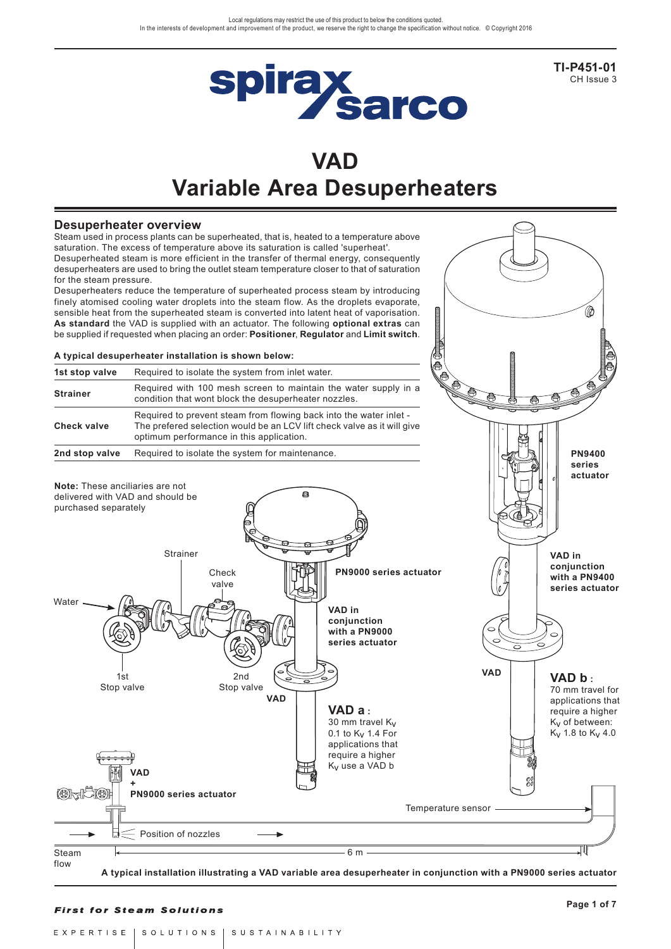

**TI-P451-01** CH Issue 3

**PN9400** 

# **VAD Variable Area Desuperheaters**

### **Desuperheater overview**

Steam used in process plants can be superheated, that is, heated to a temperature above saturation. The excess of temperature above its saturation is called 'superheat'. Desuperheated steam is more efficient in the transfer of thermal energy, consequently desuperheaters are used to bring the outlet steam temperature closer to that of saturation for the steam pressure.

Desuperheaters reduce the temperature of superheated process steam by introducing finely atomised cooling water droplets into the steam flow. As the droplets evaporate, sensible heat from the superheated steam is converted into latent heat of vaporisation. **As standard** the VAD is supplied with an actuator. The following **optional extras** can be supplied if requested when placing an order: **Positioner**, **Regulator** and **Limit switch**.

#### **A typical desuperheater installation is shown below:**

| 1st stop valve     | Required to isolate the system from inlet water.                                                                                                                                          |  |  |
|--------------------|-------------------------------------------------------------------------------------------------------------------------------------------------------------------------------------------|--|--|
| <b>Strainer</b>    | Required with 100 mesh screen to maintain the water supply in a<br>condition that wont block the desuperheater nozzles.                                                                   |  |  |
| <b>Check valve</b> | Required to prevent steam from flowing back into the water inlet -<br>The prefered selection would be an LCV lift check valve as it will give<br>optimum performance in this application. |  |  |
| 2nd stop valve     | Required to isolate the system for maintenance.                                                                                                                                           |  |  |



**A typical installation illustrating a VAD variable area desuperheater in conjunction with a PN9000 series actuator**

#### **First for Steam Solutions**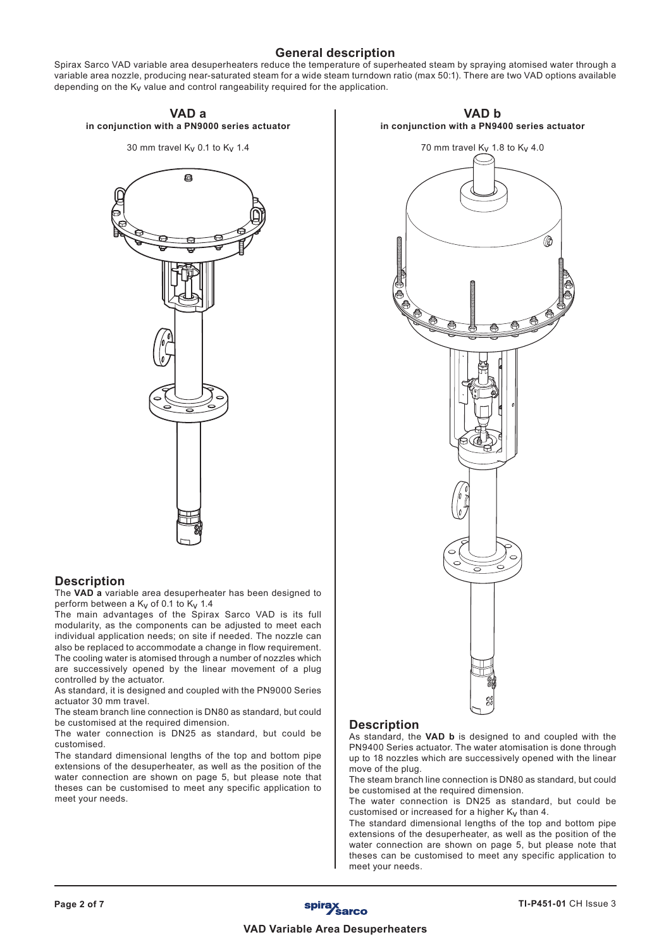# **General description**

Spirax Sarco VAD variable area desuperheaters reduce the temperature of superheated steam by spraying atomised water through a variable area nozzle, producing near-saturated steam for a wide steam turndown ratio (max 50:1). There are two VAD options available depending on the  $K_V$  value and control rangeability required for the application.



# **Description**

The **VAD a** variable area desuperheater has been designed to perform between a  $K_V$  of 0.1 to  $K_V$  1.4

The main advantages of the Spirax Sarco VAD is its full modularity, as the components can be adjusted to meet each individual application needs; on site if needed. The nozzle can also be replaced to accommodate a change in flow requirement. The cooling water is atomised through a number of nozzles which are successively opened by the linear movement of a plug controlled by the actuator.

As standard, it is designed and coupled with the PN9000 Series actuator 30 mm travel.

The steam branch line connection is DN80 as standard, but could be customised at the required dimension.

The water connection is DN25 as standard, but could be customised.

The standard dimensional lengths of the top and bottom pipe extensions of the desuperheater, as well as the position of the water connection are shown on page 5, but please note that theses can be customised to meet any specific application to meet your needs.



**VAD b**

## **Description**

As standard, the **VAD b** is designed to and coupled with the PN9400 Series actuator. The water atomisation is done through up to 18 nozzles which are successively opened with the linear move of the plug.

The steam branch line connection is DN80 as standard, but could be customised at the required dimension.

The water connection is DN25 as standard, but could be customised or increased for a higher  $K_V$  than 4.

The standard dimensional lengths of the top and bottom pipe extensions of the desuperheater, as well as the position of the water connection are shown on page 5, but please note that theses can be customised to meet any specific application to meet your needs.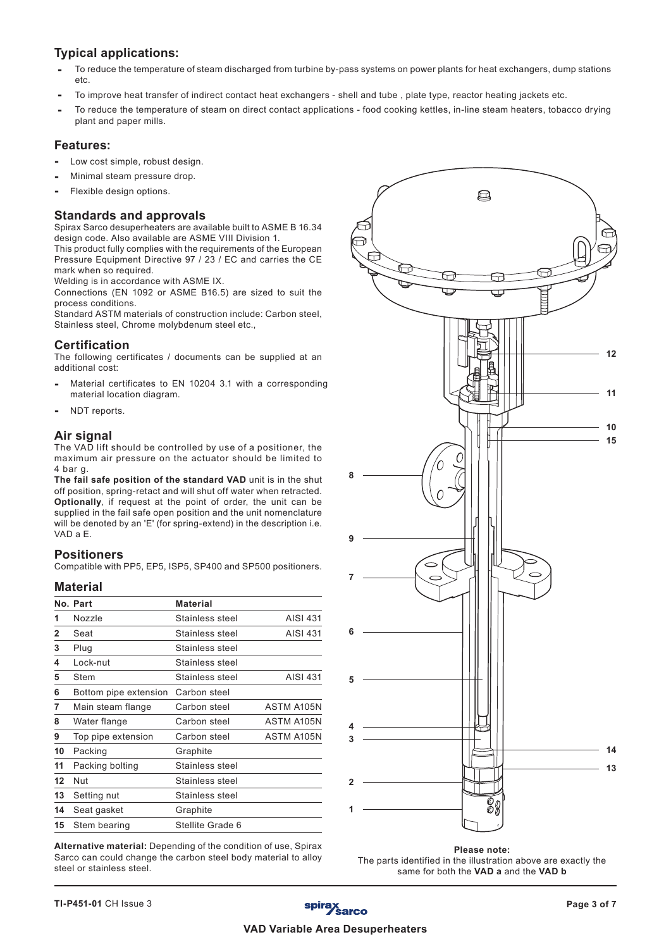# **Typical applications:**

- **-** To reduce the temperature of steam discharged from turbine by-pass systems on power plants for heat exchangers, dump stations etc.
- **-** To improve heat transfer of indirect contact heat exchangers shell and tube , plate type, reactor heating jackets etc.
- **-** To reduce the temperature of steam on direct contact applications food cooking kettles, in-line steam heaters, tobacco drying plant and paper mills.

# **Features:**

- Low cost simple, robust design.
- **-** Minimal steam pressure drop.
- **-** Flexible design options.

## **Standards and approvals**

Spirax Sarco desuperheaters are available built to ASME B 16.34 design code. Also available are ASME VIII Division 1.

This product fully complies with the requirements of the European Pressure Equipment Directive 97 / 23 / EC and carries the CE mark when so required.

Welding is in accordance with ASME IX.

Connections (EN 1092 or ASME B16.5) are sized to suit the process conditions.

Standard ASTM materials of construction include: Carbon steel, Stainless steel, Chrome molybdenum steel etc.,

## **Certification**

The following certificates / documents can be supplied at an additional cost:

- **-** Material certificates to EN 10204 3.1 with a corresponding material location diagram.
- **-** NDT reports.

#### **Air signal**

The VAD lift should be controlled by use of a positioner, the maximum air pressure on the actuator should be limited to 4 bar g.

**The fail safe position of the standard VAD** unit is in the shut off position, spring-retact and will shut off water when retracted. **Optionally**, if request at the point of order, the unit can be supplied in the fail safe open position and the unit nomenclature will be denoted by an 'E' (for spring-extend) in the description i.e. VAD a E.

#### **Positioners**

Compatible with PP5, EP5, ISP5, SP400 and SP500 positioners.

## **Material**

|              | No. Part              | <b>Material</b>  |            |
|--------------|-----------------------|------------------|------------|
| 1            | <b>Nozzle</b>         | Stainless steel  | AISI 431   |
| $\mathbf{2}$ | Seat                  | Stainless steel  | AISI 431   |
| 3            | Plug                  | Stainless steel  |            |
| 4            | Lock-nut              | Stainless steel  |            |
| 5            | Stem                  | Stainless steel  | AISI 431   |
| 6            | Bottom pipe extension | Carbon steel     |            |
| 7            | Main steam flange     | Carbon steel     | ASTM A105N |
| 8            | Water flange          | Carbon steel     | ASTM A105N |
| 9            | Top pipe extension    | Carbon steel     | ASTM A105N |
| 10           | Packing               | Graphite         |            |
| 11           | Packing bolting       | Stainless steel  |            |
| 12           | Nut                   | Stainless steel  |            |
| 13           | Setting nut           | Stainless steel  |            |
| 14           | Seat gasket           | Graphite         |            |
| 15           | Stem bearing          | Stellite Grade 6 |            |

**Alternative material:** Depending of the condition of use, Spirax Sarco can could change the carbon steel body material to alloy steel or stainless steel.



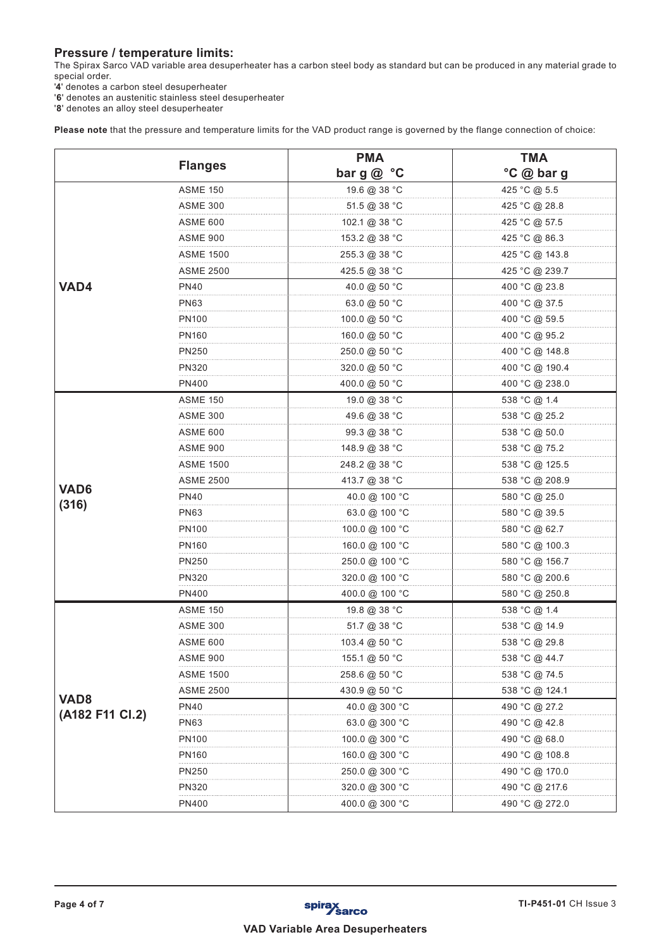# **Pressure / temperature limits:**

The Spirax Sarco VAD variable area desuperheater has a carbon steel body as standard but can be produced in any material grade to special order.

'**4**' denotes a carbon steel desuperheater

'**6**' denotes an austenitic stainless steel desuperheater

'**8**' denotes an alloy steel desuperheater

**Please note** that the pressure and temperature limits for the VAD product range is governed by the flange connection of choice:

|                  |                   | <b>PMA</b>                      | <b>TMA</b>     |
|------------------|-------------------|---------------------------------|----------------|
|                  | <b>Flanges</b>    | bar g@ °C                       | °C @ bar g     |
|                  | <b>ASME 150</b>   | 19.6 @ 38 °C                    | 425 °C @ 5.5   |
|                  | ASME 300          | $51.5 \ @ \ 38 \text{ °C}$      | 425 °C @ 28.8  |
|                  | <b>ASME 600</b>   | 102.1 @ 38 °C                   | 425 °C @ 57.5  |
|                  | ASME 900          | 153.2 @ 38 °C                   | 425 °C @ 86.3  |
|                  | ASME 1500         | 255.3 @ 38 °C                   | 425 °C @ 143.8 |
|                  | <b>ASME 2500</b>  | 425.5 @ 38 °C                   | 425 °C @ 239.7 |
| VAD4             | <b>PN40</b>       | 40.0 @ 50 °C                    | 400 °C @ 23.8  |
|                  | <b>PN63</b>       | 63.0 @ 50 $^{\circ}$ C          | 400 °C @ 37.5  |
|                  | <b>PN100</b>      | 100.0 @ 50 °C                   | 400 °C @ 59.5  |
|                  | PN <sub>160</sub> | 160.0 @ 50 °C                   | 400 °C @ 95.2  |
|                  | <b>PN250</b>      | 250.0 @ 50 °C                   | 400 °C @ 148.8 |
|                  | PN320             | 320.0 @ 50 °C                   | 400 °C @ 190.4 |
|                  | PN400             | 400.0 @ 50 °C                   | 400 °C @ 238.0 |
|                  | <b>ASME 150</b>   | 19.0 @ 38 °C                    | 538 °C @ 1.4   |
|                  | ASME 300          | 49.6 @ 38 °C                    | 538 °C @ 25.2  |
|                  | ASME 600          | $99.3 \text{ @ } 38 \text{ °C}$ | 538 °C @ 50.0  |
|                  | ASME 900          | 148.9 @ 38 °C                   | 538 °C @ 75.2  |
|                  | <b>ASME 1500</b>  | 248.2 @ 38 °C                   | 538 °C @ 125.5 |
| VAD <sub>6</sub> | <b>ASME 2500</b>  | 413.7 @ 38 °C                   | 538 °C @ 208.9 |
| (316)            | <b>PN40</b>       | 40.0 @ 100 °C                   | 580 °C @ 25.0  |
|                  | <b>PN63</b>       | 63.0 @ 100 °C                   | 580 °C @ 39.5  |
|                  | <b>PN100</b>      | 100.0 @ 100 °C                  | 580 °C @ 62.7  |
|                  | <b>PN160</b>      | 160.0 @ 100 °C                  | 580 °C @ 100.3 |
|                  | <b>PN250</b>      | 250.0 @ 100 °C                  | 580 °C @ 156.7 |
|                  | PN320             | 320.0 @ 100 °C                  | 580 °C @ 200.6 |
|                  | <b>PN400</b>      | 400.0 @ 100 °C                  | 580 °C @ 250.8 |
|                  | <b>ASME 150</b>   | 19.8 @ 38 °C                    | 538 °C @ 1.4   |
|                  | ASME 300          | $51.7 \circledR 38 \circ C$     | 538 °C @ 14.9  |
|                  | ASME 600          | 103.4 @ 50 °C                   | 538 °C @ 29.8  |
|                  | ASME 900          | 155.1 @ 50 °C                   | 538 °C @ 44.7  |
|                  | ASME 1500         | 258.6 @ 50 °C                   | 538 °C @ 74.5  |
| VAD <sub>8</sub> | ASME 2500         | 430.9 @ 50 °C                   | 538 °C @ 124.1 |
| (A182 F11 Cl.2)  | <b>PN40</b>       | 40.0 @ 300 °C                   | 490 °C @ 27.2  |
|                  | <b>PN63</b>       | 63.0 @ 300 °C                   | 490 °C @ 42.8  |
|                  | <b>PN100</b>      | 100.0 @ 300 °C                  | 490 °C @ 68.0  |
|                  | PN <sub>160</sub> | 160.0 @ 300 °C                  | 490 °C @ 108.8 |
|                  | PN250             | 250.0 @ 300 °C                  | 490 °C @ 170.0 |
|                  | PN320             | 320.0 @ 300 °C                  | 490 °C @ 217.6 |
|                  | PN400             | 400.0 @ 300 °C                  | 490 °C @ 272.0 |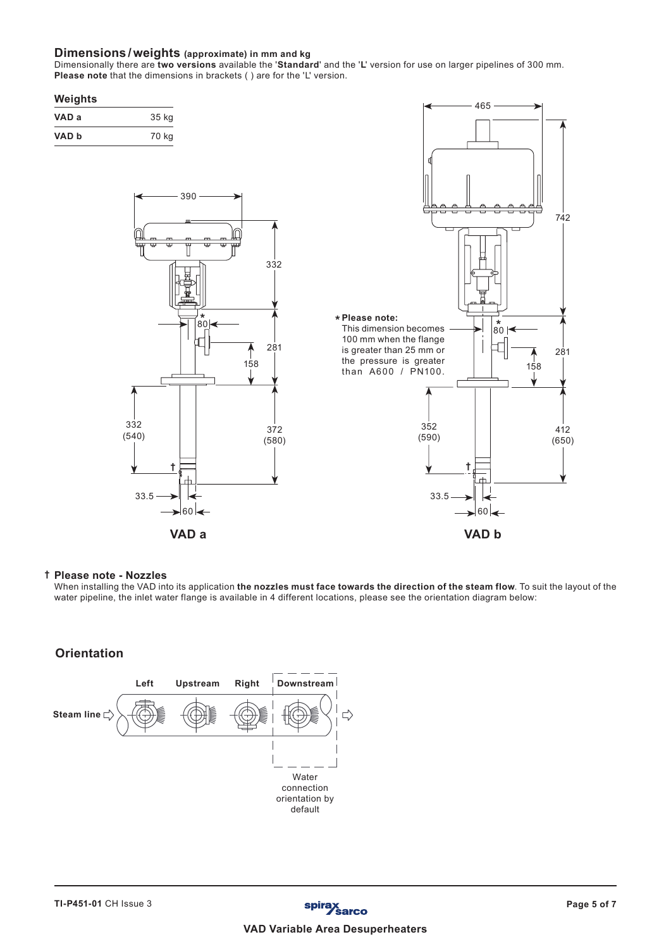#### **Dimensions /weights (approximate) in mm and kg**

Dimensionally there are **two versions** available the '**Standard**' and the '**L**' version for use on larger pipelines of 300 mm. **Please note** that the dimensions in brackets ( ) are for the 'L' version.

#### **Weights**

| VAD a | 35 kg |
|-------|-------|
| VAD b | 70 kg |





#### **Please note - Nozzles †**

When installing the VAD into its application **the nozzles must face towards the direction of the steam flow**. To suit the layout of the water pipeline, the inlet water flange is available in 4 different locations, please see the orientation diagram below:

## **Orientation**

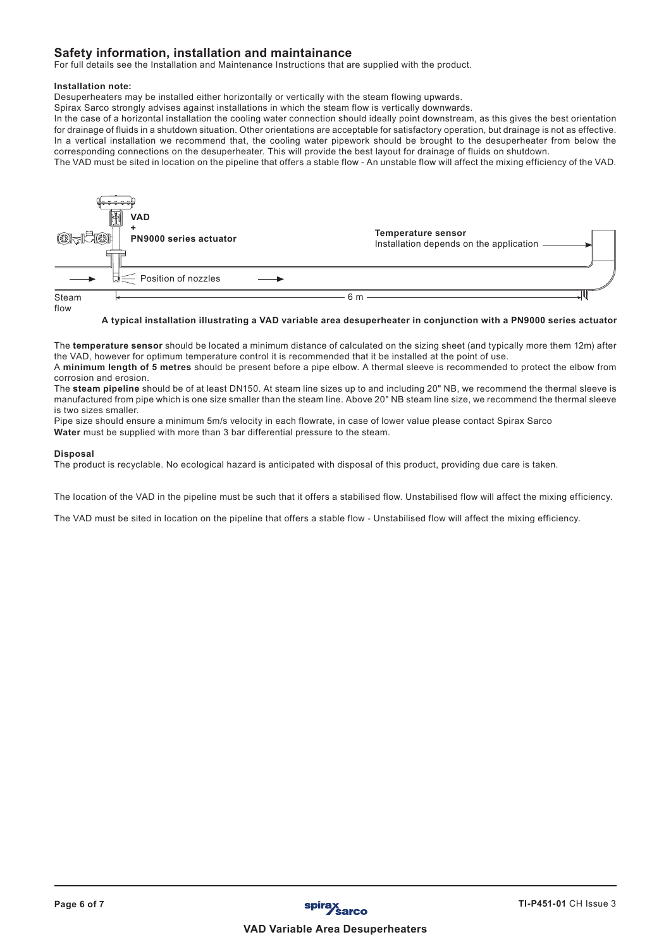## **Safety information, installation and maintainance**

For full details see the Installation and Maintenance Instructions that are supplied with the product.

#### **Installation note:**

Desuperheaters may be installed either horizontally or vertically with the steam flowing upwards.

Spirax Sarco strongly advises against installations in which the steam flow is vertically downwards.

In the case of a horizontal installation the cooling water connection should ideally point downstream, as this gives the best orientation for drainage of fluids in a shutdown situation. Other orientations are acceptable for satisfactory operation, but drainage is not as effective. In a vertical installation we recommend that, the cooling water pipework should be brought to the desuperheater from below the corresponding connections on the desuperheater. This will provide the best layout for drainage of fluids on shutdown.

The VAD must be sited in location on the pipeline that offers a stable flow - An unstable flow will affect the mixing efficiency of the VAD.



## **A typical installation illustrating a VAD variable area desuperheater in conjunction with a PN9000 series actuator**

The **temperature sensor** should be located a minimum distance of calculated on the sizing sheet (and typically more them 12m) after the VAD, however for optimum temperature control it is recommended that it be installed at the point of use. A **minimum length of 5 metres** should be present before a pipe elbow. A thermal sleeve is recommended to protect the elbow from

corrosion and erosion.

The **steam pipeline** should be of at least DN150. At steam line sizes up to and including 20" NB, we recommend the thermal sleeve is manufactured from pipe which is one size smaller than the steam line. Above 20" NB steam line size, we recommend the thermal sleeve is two sizes smaller.

Pipe size should ensure a minimum 5m/s velocity in each flowrate, in case of lower value please contact Spirax Sarco **Water** must be supplied with more than 3 bar differential pressure to the steam.

#### **Disposal**

The product is recyclable. No ecological hazard is anticipated with disposal of this product, providing due care is taken.

The location of the VAD in the pipeline must be such that it offers a stabilised flow. Unstabilised flow will affect the mixing efficiency.

The VAD must be sited in location on the pipeline that offers a stable flow - Unstabilised flow will affect the mixing efficiency.